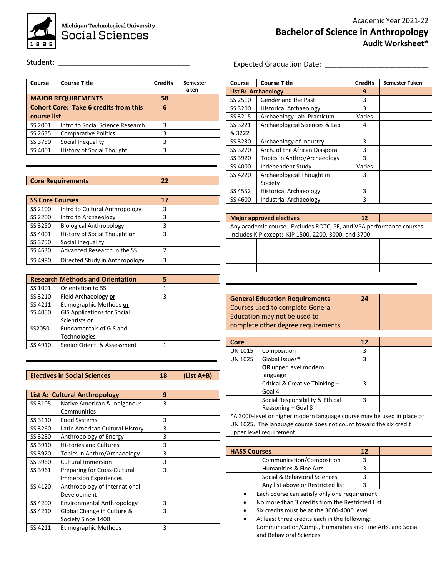

Student: \_\_\_\_\_\_\_\_\_\_\_\_\_\_\_\_\_\_\_\_\_\_\_\_\_\_\_\_\_\_\_\_\_

| Course                                       | <b>Course Title</b>              | <b>Credits</b> | Semester<br>Taken |
|----------------------------------------------|----------------------------------|----------------|-------------------|
|                                              | <b>MAJOR REQUIREMENTS</b>        | 58             |                   |
| <b>Cohort Core: Take 6 credits from this</b> |                                  | 6              |                   |
| course list                                  |                                  |                |                   |
| SS 2001                                      | Intro to Social Science Research | 3              |                   |
| SS 2635                                      | <b>Comparative Politics</b>      | 3              |                   |
| SS 3750                                      | Social Inequality                | 3              |                   |
| SS 4001                                      | <b>History of Social Thought</b> | ٦              |                   |

## **Core Requirements 22**

| <b>SS Core Courses</b> |                                | 17 |  |
|------------------------|--------------------------------|----|--|
| SS 2100                | Intro to Cultural Anthropology | 3  |  |
| SS 2200                | Intro to Archaeology           |    |  |
| SS 3250                | <b>Biological Anthropology</b> |    |  |
| SS 4001                | History of Social Thought or   | 3  |  |
| SS 3750                | Social Inequality              |    |  |
| SS 4630                | Advanced Research in the SS    |    |  |
| SS 4990                | Directed Study in Anthropology |    |  |

|         | <b>Research Methods and Orientation</b> |   |  |
|---------|-----------------------------------------|---|--|
| SS 1001 | Orientation to SS                       |   |  |
| SS 3210 | Field Archaeology or                    | 3 |  |
| SS 4211 | Ethnographic Methods or                 |   |  |
| SS 4050 | <b>GIS Applications for Social</b>      |   |  |
|         | Scientists or                           |   |  |
| SS2050  | <b>Fundamentals of GIS and</b>          |   |  |
|         | <b>Technologies</b>                     |   |  |
| SS 4910 | Senior Orient, & Assessment             |   |  |

| <b>Electives in Social Sciences</b> | $(List A+B)$ |
|-------------------------------------|--------------|

|         | <b>List A: Cultural Anthropology</b> | 9 |  |
|---------|--------------------------------------|---|--|
| SS 3105 | Native American & Indigenous         | 3 |  |
|         | Communities                          |   |  |
| SS 3110 | Food Systems                         | 3 |  |
| SS 3260 | Latin American Cultural History      | 3 |  |
| SS 3280 | Anthropology of Energy               | 3 |  |
| SS 3910 | <b>Histories and Cultures</b>        | 3 |  |
| SS 3920 | Topics in Anthro/Archaeology         | 3 |  |
| SS 3960 | <b>Cultural Immersion</b>            | 3 |  |
| SS 3961 | <b>Preparing for Cross-Cultural</b>  | 3 |  |
|         | <b>Immersion Experiences</b>         |   |  |
| SS 4120 | Anthropology of International        |   |  |
|         | Development                          |   |  |
| SS 4200 | <b>Environmental Anthropology</b>    | 3 |  |
| SS 4210 | Global Change in Culture &           | 3 |  |
|         | Society Since 1400                   |   |  |
| SS 4211 | <b>Ethnographic Methods</b>          | 3 |  |

## Expected Graduation Date: \_\_\_\_\_\_\_\_\_\_\_\_\_\_\_\_\_\_\_\_\_\_\_\_\_\_

| Course  | <b>Course Title</b>           | <b>Credits</b> | Semester Taken |
|---------|-------------------------------|----------------|----------------|
|         | List B: Archaeology           | 9              |                |
| SS 2510 | Gender and the Past           | 3              |                |
| SS 3200 | <b>Historical Archaeology</b> | 3              |                |
| SS 3215 | Archaeology Lab. Practicum    | Varies         |                |
| SS 3221 | Archaeological Sciences & Lab | 4              |                |
| & 3222  |                               |                |                |
| SS 3230 | Archaeology of Industry       | 3              |                |
| SS 3270 | Arch. of the African Diaspora | 3              |                |
| SS 3920 | Topics in Anthro/Archaeology  | 3              |                |
| SS 4000 | Independent Study             | Varies         |                |
| SS 4220 | Archaeological Thought in     | 3              |                |
|         | Society                       |                |                |
| SS 4552 | <b>Historical Archaeology</b> | 3              |                |
| SS 4600 | <b>Industrial Archaeology</b> | 3              |                |

|                                                                      | <b>Major approved electives</b>                      | 12 |  |
|----------------------------------------------------------------------|------------------------------------------------------|----|--|
| Any academic course. Excludes ROTC, PE, and VPA performance courses. |                                                      |    |  |
|                                                                      | Includes KIP except: KIP 1500, 2200, 3000, and 3700. |    |  |
|                                                                      |                                                      |    |  |
|                                                                      |                                                      |    |  |
|                                                                      |                                                      |    |  |

| <b>General Education Requirements</b> | 24 |  |
|---------------------------------------|----|--|
| Courses used to complete General      |    |  |
| Education may not be used to          |    |  |
| complete other degree requirements.   |    |  |

| Core           |                                 | 12 |  |
|----------------|---------------------------------|----|--|
| <b>UN 1015</b> | Composition                     | 3  |  |
| <b>UN 1025</b> | Global Issues*                  | 3  |  |
|                | OR upper level modern           |    |  |
|                | language                        |    |  |
|                | Critical & Creative Thinking -  | 3  |  |
|                | Goal 4                          |    |  |
|                | Social Responsibility & Ethical | 3  |  |
|                | Reasoning - Goal 8              |    |  |

\*A 3000-level or higher modern language course may be used in place of UN 1025. The language course does not count toward the six credit upper level requirement.

|                                              | <b>HASS Courses</b>                                       |   |  |
|----------------------------------------------|-----------------------------------------------------------|---|--|
|                                              | Communication/Composition                                 | 3 |  |
|                                              | Humanities & Fine Arts                                    | 3 |  |
|                                              | Social & Behavioral Sciences                              | 3 |  |
|                                              | Any list above or Restricted list                         | ς |  |
| Each course can satisfy only one requirement |                                                           |   |  |
|                                              | No more than 3 credits from the Restricted List           |   |  |
| ٠                                            | Six credits must be at the 3000-4000 level                |   |  |
|                                              | At least three credits each in the following:             |   |  |
|                                              | Communication/Comp., Humanities and Fine Arts, and Social |   |  |

and Behavioral Sciences.